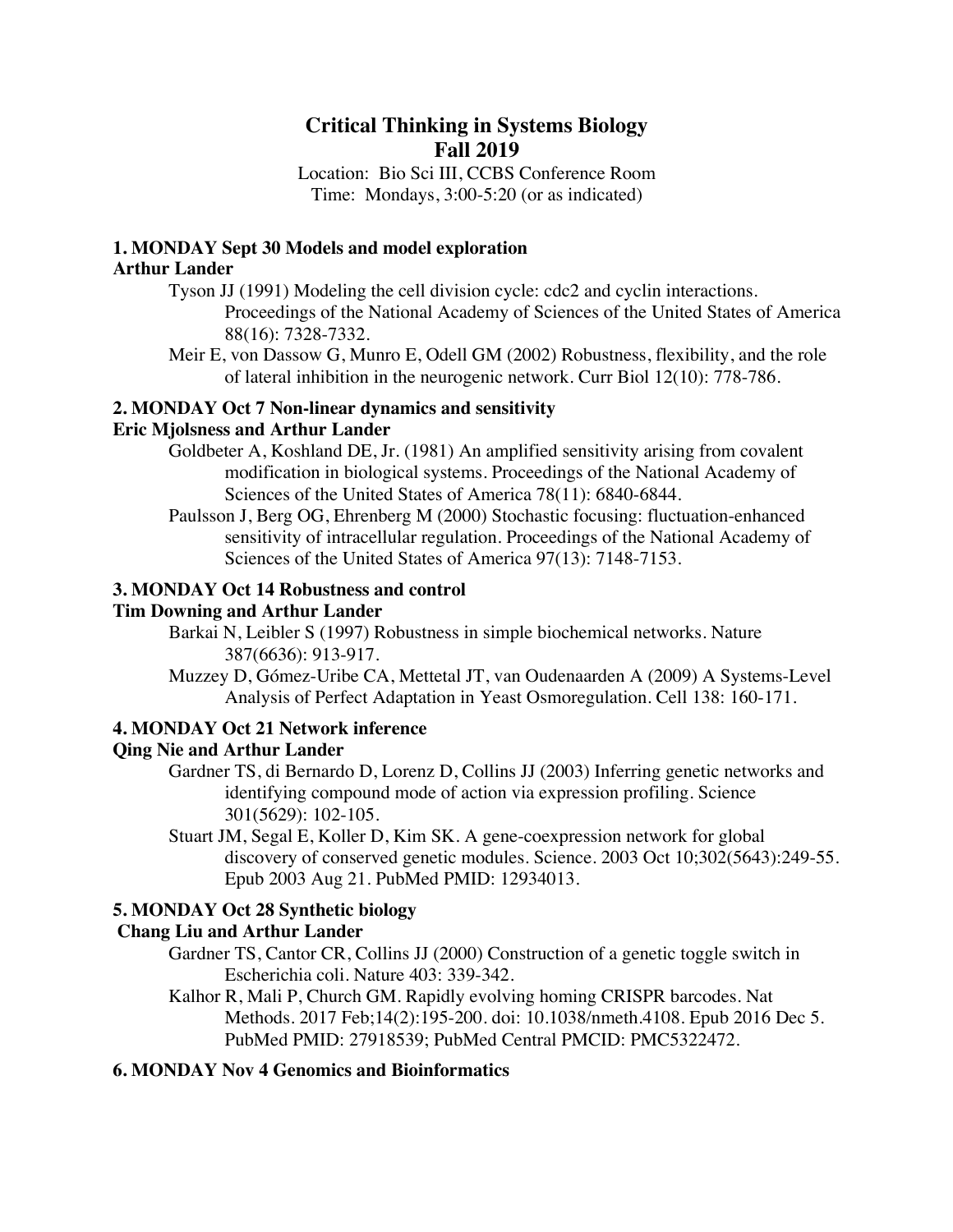# **Critical Thinking in Systems Biology Fall 2019**

Location: Bio Sci III, CCBS Conference Room Time: Mondays, 3:00-5:20 (or as indicated)

#### **1. MONDAY Sept 30 Models and model exploration Arthur Lander**

Tyson JJ (1991) Modeling the cell division cycle: cdc2 and cyclin interactions. Proceedings of the National Academy of Sciences of the United States of America 88(16): 7328-7332.

Meir E, von Dassow G, Munro E, Odell GM (2002) Robustness, flexibility, and the role of lateral inhibition in the neurogenic network. Curr Biol 12(10): 778-786.

# **2. MONDAY Oct 7 Non-linear dynamics and sensitivity**

# **Eric Mjolsness and Arthur Lander**

- Goldbeter A, Koshland DE, Jr. (1981) An amplified sensitivity arising from covalent modification in biological systems. Proceedings of the National Academy of Sciences of the United States of America 78(11): 6840-6844.
- Paulsson J, Berg OG, Ehrenberg M (2000) Stochastic focusing: fluctuation-enhanced sensitivity of intracellular regulation. Proceedings of the National Academy of Sciences of the United States of America 97(13): 7148-7153.

# **3. MONDAY Oct 14 Robustness and control**

#### **Tim Downing and Arthur Lander**

- Barkai N, Leibler S (1997) Robustness in simple biochemical networks. Nature 387(6636): 913-917.
- Muzzey D, Gómez-Uribe CA, Mettetal JT, van Oudenaarden A (2009) A Systems-Level Analysis of Perfect Adaptation in Yeast Osmoregulation. Cell 138: 160-171.

# **4. MONDAY Oct 21 Network inference**

# **Qing Nie and Arthur Lander**

- Gardner TS, di Bernardo D, Lorenz D, Collins JJ (2003) Inferring genetic networks and identifying compound mode of action via expression profiling. Science 301(5629): 102-105.
- Stuart JM, Segal E, Koller D, Kim SK. A gene-coexpression network for global discovery of conserved genetic modules. Science. 2003 Oct 10;302(5643):249-55. Epub 2003 Aug 21. PubMed PMID: 12934013.

# **5. MONDAY Oct 28 Synthetic biology**

# **Chang Liu and Arthur Lander**

- Gardner TS, Cantor CR, Collins JJ (2000) Construction of a genetic toggle switch in Escherichia coli. Nature 403: 339-342.
- Kalhor R, Mali P, Church GM. Rapidly evolving homing CRISPR barcodes. Nat Methods. 2017 Feb;14(2):195-200. doi: 10.1038/nmeth.4108. Epub 2016 Dec 5. PubMed PMID: 27918539; PubMed Central PMCID: PMC5322472.

# **6. MONDAY Nov 4 Genomics and Bioinformatics**